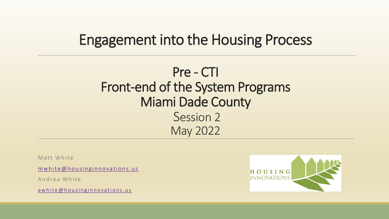### Engagement into the Housing Process

### Pre - CTI Front-end of the System Programs Miami Dade County Session 2 May 2022

Matt White

 $m$  white  $@$  housing innovations.us

Andrea White

a w hite @ h o u sing in n o vations. us

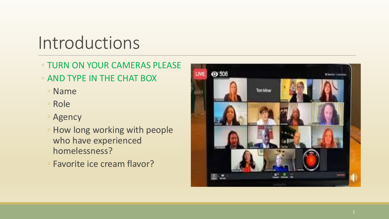## Introductions

#### ◦ TURN ON YOUR CAMERAS PLEASE

- AND TYPE IN THE CHAT BOX
	- Name
	- Role
	- Agency
	- How long working with people who have experienced homelessness?
	- Favorite ice cream flavor?

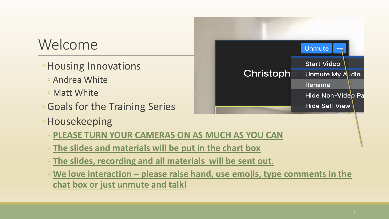### Welcome

- Housing Innovations
	- Andrea White
	- Matt White
- Goals for the Training Series
- Housekeeping
	- **PLEASE TURN YOUR CAMERAS ON AS MUCH AS YOU CAN**
	- **The slides and materials will be put in the chart box**
	- **The slides, recording and all materials will be sent out.**
	- **We love interaction – please raise hand, use emojis, type comments in the chat box or just unmute and talk!**

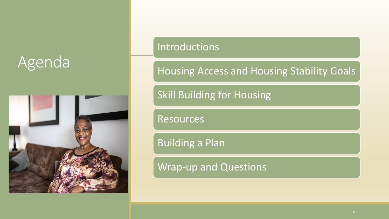# Agenda



#### Introductions

Housing Access and Housing Stability Goals

Skill Building for Housing

Resources

Building a Plan

Wrap-up and Questions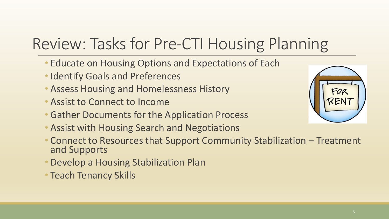# Review: Tasks for Pre-CTI Housing Planning

- Educate on Housing Options and Expectations of Each
- Identify Goals and Preferences
- Assess Housing and Homelessness History
- Assist to Connect to Income
- Gather Documents for the Application Process
- Assist with Housing Search and Negotiations
- Connect to Resources that Support Community Stabilization Treatment and Supports
- Develop a Housing Stabilization Plan
- Teach Tenancy Skills

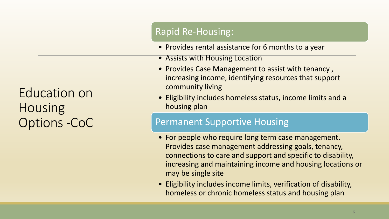Education on Housing Options -CoC

#### Rapid Re-Housing:

- Provides rental assistance for 6 months to a year
- Assists with Housing Location
- Provides Case Management to assist with tenancy , increasing income, identifying resources that support community living
- Eligibility includes homeless status, income limits and a housing plan

#### Permanent Supportive Housing

- For people who require long term case management. Provides case management addressing goals, tenancy, connections to care and support and specific to disability, increasing and maintaining income and housing locations or may be single site
- Eligibility includes income limits, verification of disability, homeless or chronic homeless status and housing plan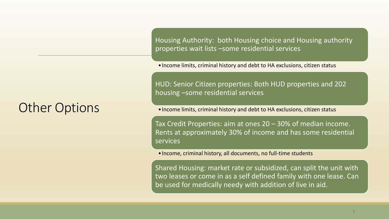### Other Options

Housing Authority: both Housing choice and Housing authority properties wait lists –some residential services

•Income limits, criminal history and debt to HA exclusions, citizen status

HUD: Senior Citizen properties: Both HUD properties and 202 housing –some residential services

•Income limits, criminal history and debt to HA exclusions, citizen status

Tax Credit Properties: aim at ones 20 – 30% of median income. Rents at approximately 30% of income and has some residential services

•Income, criminal history, all documents, no full-time students

Shared Housing: market rate or subsidized, can split the unit with two leases or come in as a self defined family with one lease. Can be used for medically needy with addition of live in aid.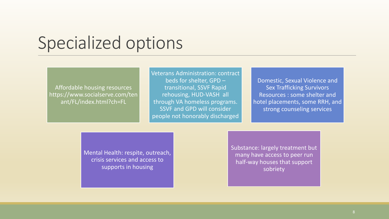## Specialized options

Affordable housing resources https://www.socialserve.com/ten ant/FL/index.html?ch=FL

Veterans Administration: contract beds for shelter, GPD – transitional, SSVF Rapid rehousing, HUD-VASH all through VA homeless programs. SSVF and GPD will consider people not honorably discharged

Domestic, Sexual Violence and Sex Trafficking Survivors Resources : some shelter and hotel placements, some RRH, and strong counseling services

Mental Health: respite, outreach, crisis services and access to supports in housing

Substance: largely treatment but many have access to peer run half-way houses that support sobriety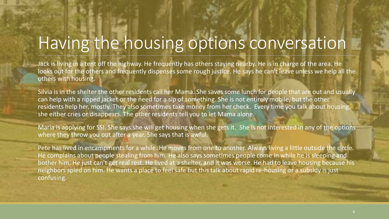# Having the housing options conversation

Jack is living in a tent off the highway. He frequently has others staying nearby. He is in charge of the area. He looks out for the others and frequently dispenses some rough justice. He says he can't leave unless we help all the others with housing.

Silvia is in the shelter the other residents call her Mama. She saves some lunch for people that are out and usually can help with a ripped jacket or the need for a sip of something. She is not entirely mobile, but the other residents help her, mostly. They also sometimes take money from her check. Every time you talk about housing, she either cries or disappears. The other residents tell you to let Mama alone.

Maria is applying for SSI. She says she will get housing when she gets it. She is not interested in any of the options where they throw you out after a year. She says that is awful.

Pete has lived in encampments for a while. He moves from one to another. Always living a little outside the circle. He complains about people stealing from him. He also says sometimes people come in while he is sleeping and bother him. He just can't get real rest. He lived at a shelter, and it was worse. He had to leave housing because his neighbors spied on him. He wants a place to feel safe but this talk about rapid re-housing or a subsidy is just confusing.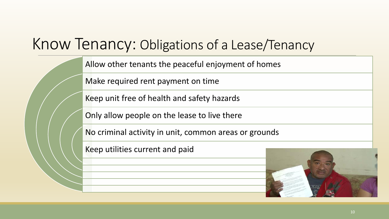## Know Tenancy: Obligations of a Lease/Tenancy

Allow other tenants the peaceful enjoyment of homes

Make required rent payment on time

Keep unit free of health and safety hazards

Only allow people on the lease to live there

No criminal activity in unit, common areas or grounds

Keep utilities current and paid

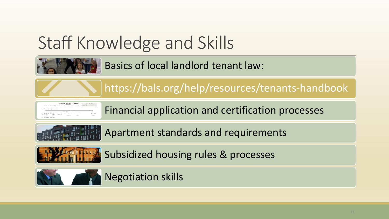# Staff Knowledge and Skills



Basics of local landlord tenant law:

https://bals.org/help/resources/tenants-handbook



Financial application and certification processes



Apartment standards and requirements



Subsidized housing rules & processes

#### Negotiation skills